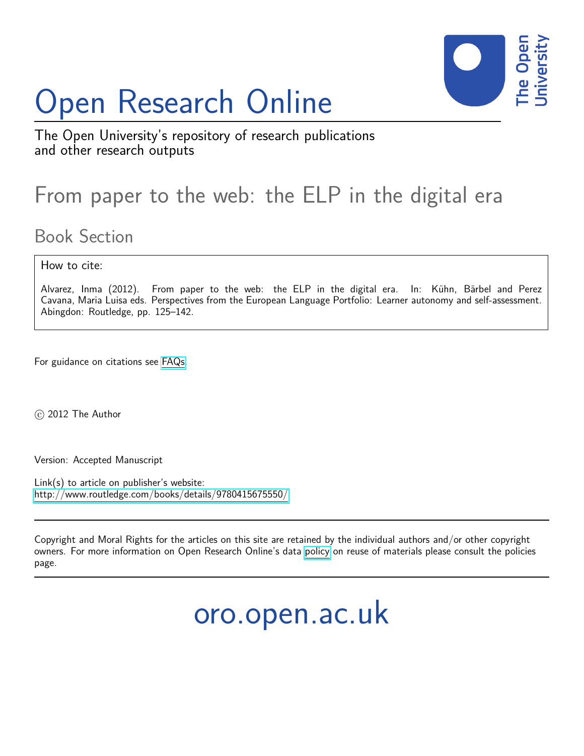# Open Research Online



The Open University's repository of research publications and other research outputs

## From paper to the web: the ELP in the digital era

## Book Section

#### How to cite:

Alvarez, Inma (2012). From paper to the web: the ELP in the digital era. In: Kühn, Bärbel and Perez Cavana, Maria Luisa eds. Perspectives from the European Language Portfolio: Learner autonomy and self-assessment. Abingdon: Routledge, pp. 125–142.

For guidance on citations see [FAQs.](http://oro.open.ac.uk/help/helpfaq.html)

c 2012 The Author

Version: Accepted Manuscript

Link(s) to article on publisher's website: <http://www.routledge.com/books/details/9780415675550/>

Copyright and Moral Rights for the articles on this site are retained by the individual authors and/or other copyright owners. For more information on Open Research Online's data [policy](http://oro.open.ac.uk/policies.html) on reuse of materials please consult the policies page.

## oro.open.ac.uk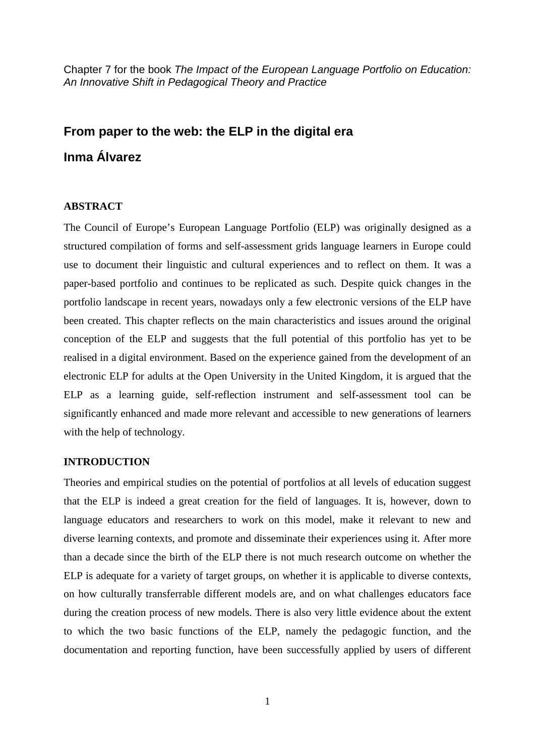Chapter 7 for the book *The Impact of the European Language Portfolio on Education: An Innovative Shift in Pedagogical Theory and Practice*

### **From paper to the web: the ELP in the digital era Inma Álvarez**

#### **ABSTRACT**

The Council of Europe's European Language Portfolio (ELP) was originally designed as a structured compilation of forms and self-assessment grids language learners in Europe could use to document their linguistic and cultural experiences and to reflect on them. It was a paper-based portfolio and continues to be replicated as such. Despite quick changes in the portfolio landscape in recent years, nowadays only a few electronic versions of the ELP have been created. This chapter reflects on the main characteristics and issues around the original conception of the ELP and suggests that the full potential of this portfolio has yet to be realised in a digital environment. Based on the experience gained from the development of an electronic ELP for adults at the Open University in the United Kingdom, it is argued that the ELP as a learning guide, self-reflection instrument and self-assessment tool can be significantly enhanced and made more relevant and accessible to new generations of learners with the help of technology.

#### **INTRODUCTION**

Theories and empirical studies on the potential of portfolios at all levels of education suggest that the ELP is indeed a great creation for the field of languages. It is, however, down to language educators and researchers to work on this model, make it relevant to new and diverse learning contexts, and promote and disseminate their experiences using it. After more than a decade since the birth of the ELP there is not much research outcome on whether the ELP is adequate for a variety of target groups, on whether it is applicable to diverse contexts, on how culturally transferrable different models are, and on what challenges educators face during the creation process of new models. There is also very little evidence about the extent to which the two basic functions of the ELP, namely the pedagogic function, and the documentation and reporting function, have been successfully applied by users of different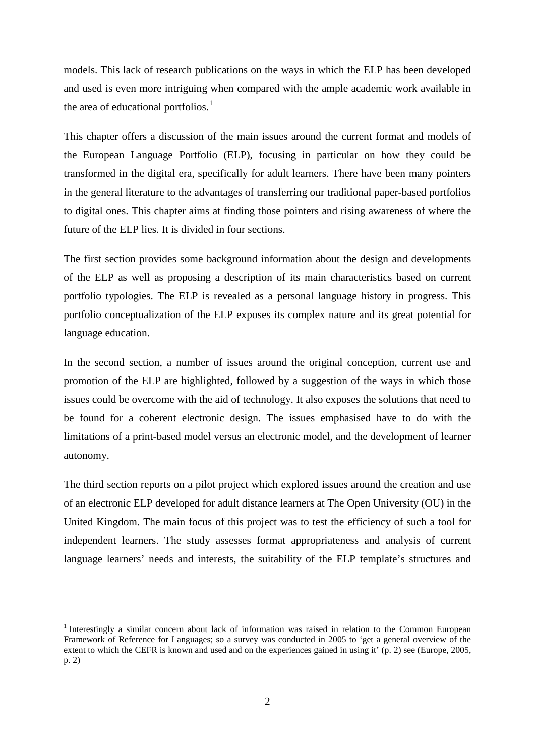models. This lack of research publications on the ways in which the ELP has been developed and used is even more intriguing when compared with the ample academic work available in the area of educational portfolios.<sup>[1](#page-2-0)</sup>

This chapter offers a discussion of the main issues around the current format and models of the European Language Portfolio (ELP), focusing in particular on how they could be transformed in the digital era, specifically for adult learners. There have been many pointers in the general literature to the advantages of transferring our traditional paper-based portfolios to digital ones. This chapter aims at finding those pointers and rising awareness of where the future of the ELP lies. It is divided in four sections.

The first section provides some background information about the design and developments of the ELP as well as proposing a description of its main characteristics based on current portfolio typologies. The ELP is revealed as a personal language history in progress. This portfolio conceptualization of the ELP exposes its complex nature and its great potential for language education.

In the second section, a number of issues around the original conception, current use and promotion of the ELP are highlighted, followed by a suggestion of the ways in which those issues could be overcome with the aid of technology. It also exposes the solutions that need to be found for a coherent electronic design. The issues emphasised have to do with the limitations of a print-based model versus an electronic model, and the development of learner autonomy.

The third section reports on a pilot project which explored issues around the creation and use of an electronic ELP developed for adult distance learners at The Open University (OU) in the United Kingdom. The main focus of this project was to test the efficiency of such a tool for independent learners. The study assesses format appropriateness and analysis of current language learners' needs and interests, the suitability of the ELP template's structures and

-

<span id="page-2-0"></span><sup>&</sup>lt;sup>1</sup> Interestingly a similar concern about lack of information was raised in relation to the Common European Framework of Reference for Languages; so a survey was conducted in 2005 to 'get a general overview of the extent to which the CEFR is known and used and on the experiences gained in using it' (p. 2) see [\(Europe, 2005,](#page-21-0)  [p. 2\)](#page-21-0)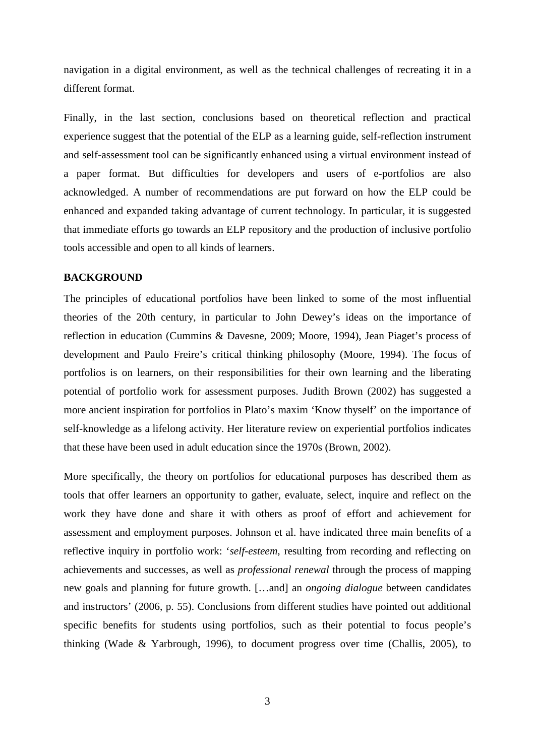navigation in a digital environment, as well as the technical challenges of recreating it in a different format.

Finally, in the last section, conclusions based on theoretical reflection and practical experience suggest that the potential of the ELP as a learning guide, self-reflection instrument and self-assessment tool can be significantly enhanced using a virtual environment instead of a paper format. But difficulties for developers and users of e-portfolios are also acknowledged. A number of recommendations are put forward on how the ELP could be enhanced and expanded taking advantage of current technology. In particular, it is suggested that immediate efforts go towards an ELP repository and the production of inclusive portfolio tools accessible and open to all kinds of learners.

#### **BACKGROUND**

The principles of educational portfolios have been linked to some of the most influential theories of the 20th century, in particular to John Dewey's ideas on the importance of reflection in education [\(Cummins & Davesne, 2009;](#page-21-1) [Moore, 1994\)](#page-22-0), Jean Piaget's process of development and Paulo Freire's critical thinking philosophy [\(Moore, 1994\)](#page-22-0). The focus of portfolios is on learners, on their responsibilities for their own learning and the liberating potential of portfolio work for assessment purposes. Judith Brown [\(2002\)](#page-20-0) has suggested a more ancient inspiration for portfolios in Plato's maxim 'Know thyself' on the importance of self-knowledge as a lifelong activity. Her literature review on experiential portfolios indicates that these have been used in adult education since the 1970s [\(Brown, 2002\)](#page-20-0).

More specifically, the theory on portfolios for educational purposes has described them as tools that offer learners an opportunity to gather, evaluate, select, inquire and reflect on the work they have done and share it with others as proof of effort and achievement for assessment and employment purposes. Johnson et al. have indicated three main benefits of a reflective inquiry in portfolio work: '*self-esteem*, resulting from recording and reflecting on achievements and successes, as well as *professional renewal* through the process of mapping new goals and planning for future growth. […and] an *ongoing dialogue* between candidates and instructors' [\(2006, p. 55\)](#page-21-2). Conclusions from different studies have pointed out additional specific benefits for students using portfolios, such as their potential to focus people's thinking [\(Wade & Yarbrough, 1996\)](#page-22-1), to document progress over time [\(Challis, 2005\)](#page-21-3), to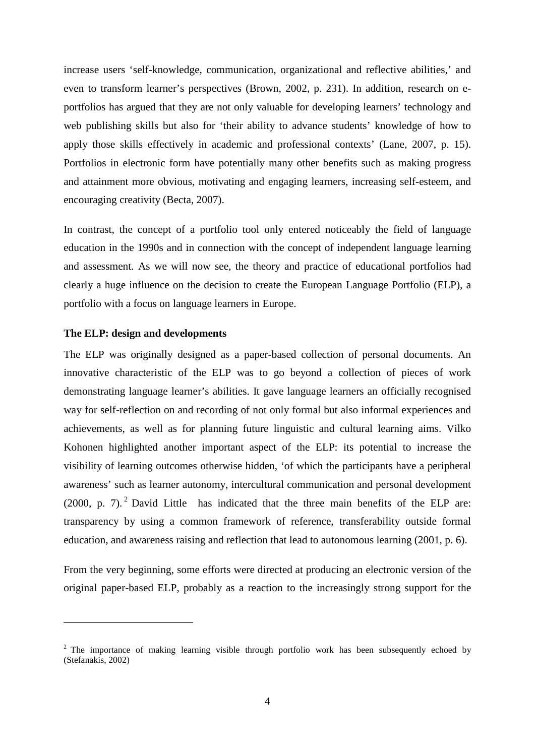increase users 'self-knowledge, communication, organizational and reflective abilities,' and even to transform learner's perspectives [\(Brown, 2002, p. 231\)](#page-20-0). In addition, research on eportfolios has argued that they are not only valuable for developing learners' technology and web publishing skills but also for 'their ability to advance students' knowledge of how to apply those skills effectively in academic and professional contexts' [\(Lane, 2007, p. 15\)](#page-21-4). Portfolios in electronic form have potentially many other benefits such as making progress and attainment more obvious, motivating and engaging learners, increasing self-esteem, and encouraging creativity [\(Becta, 2007\)](#page-20-1).

In contrast, the concept of a portfolio tool only entered noticeably the field of language education in the 1990s and in connection with the concept of independent language learning and assessment. As we will now see, the theory and practice of educational portfolios had clearly a huge influence on the decision to create the European Language Portfolio (ELP), a portfolio with a focus on language learners in Europe.

#### **The ELP: design and developments**

-

The ELP was originally designed as a paper-based collection of personal documents. An innovative characteristic of the ELP was to go beyond a collection of pieces of work demonstrating language learner's abilities. It gave language learners an officially recognised way for self-reflection on and recording of not only formal but also informal experiences and achievements, as well as for planning future linguistic and cultural learning aims. Vilko Kohonen highlighted another important aspect of the ELP: its potential to increase the visibility of learning outcomes otherwise hidden, 'of which the participants have a peripheral awareness' such as learner autonomy, intercultural communication and personal development  $(2000, p. 7)$ . <sup>[2](#page-4-0)</sup> David Little has indicated that the three main benefits of the ELP are: transparency by using a common framework of reference, transferability outside formal education, and awareness raising and reflection that lead to autonomous learning [\(2001, p. 6\)](#page-21-6).

From the very beginning, some efforts were directed at producing an electronic version of the original paper-based ELP, probably as a reaction to the increasingly strong support for the

<span id="page-4-0"></span><sup>&</sup>lt;sup>2</sup> The importance of making learning visible through portfolio work has been subsequently echoed by [\(Stefanakis, 2002\)](#page-22-2)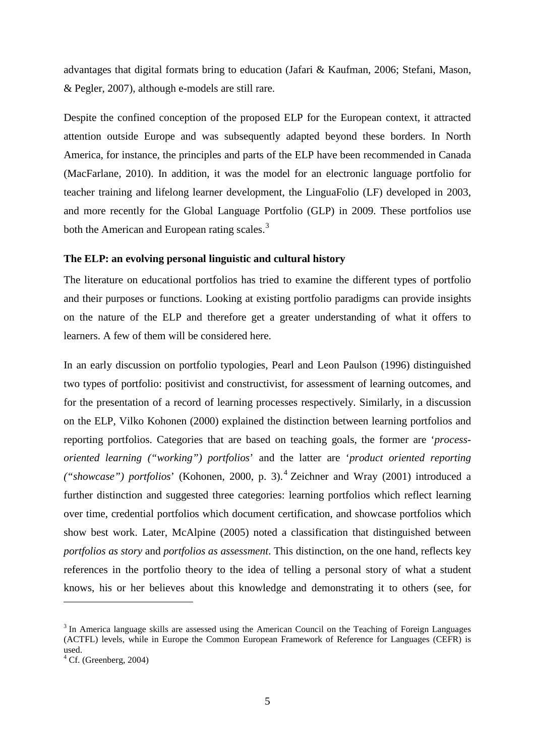advantages that digital formats bring to education [\(Jafari & Kaufman, 2006;](#page-21-7) [Stefani, Mason,](#page-22-3)  [& Pegler, 2007\)](#page-22-3), although e-models are still rare.

Despite the confined conception of the proposed ELP for the European context, it attracted attention outside Europe and was subsequently adapted beyond these borders. In North America, for instance, the principles and parts of the ELP have been recommended in Canada [\(MacFarlane, 2010\)](#page-21-8). In addition, it was the model for an electronic language portfolio for teacher training and lifelong learner development, the LinguaFolio (LF) developed in 2003, and more recently for the Global Language Portfolio (GLP) in 2009. These portfolios use both the American and European rating scales.<sup>[3](#page-5-0)</sup>

#### **The ELP: an evolving personal linguistic and cultural history**

The literature on educational portfolios has tried to examine the different types of portfolio and their purposes or functions. Looking at existing portfolio paradigms can provide insights on the nature of the ELP and therefore get a greater understanding of what it offers to learners. A few of them will be considered here.

In an early discussion on portfolio typologies, Pearl and Leon Paulson [\(1996\)](#page-22-4) distinguished two types of portfolio: positivist and constructivist, for assessment of learning outcomes, and for the presentation of a record of learning processes respectively. Similarly, in a discussion on the ELP, Vilko Kohonen [\(2000\)](#page-21-5) explained the distinction between learning portfolios and reporting portfolios. Categories that are based on teaching goals, the former are '*processoriented learning ("working") portfolios*' and the latter are '*product oriented reporting ("showcase") portfolios*' [\(Kohonen, 2000, p. 3\)](#page-21-5). [4](#page-5-1) Zeichner and Wray [\(2001\)](#page-22-5) introduced a further distinction and suggested three categories: learning portfolios which reflect learning over time, credential portfolios which document certification, and showcase portfolios which show best work. Later, McAlpine [\(2005\)](#page-22-6) noted a classification that distinguished between *portfolios as story* and *portfolios as assessment*. This distinction, on the one hand, reflects key references in the portfolio theory to the idea of telling a personal story of what a student knows, his or her believes about this knowledge and demonstrating it to others [\(see, for](#page-22-7) 

-

<span id="page-5-0"></span><sup>&</sup>lt;sup>3</sup> In America language skills are assessed using the American Council on the Teaching of Foreign Languages (ACTFL) levels, while in Europe the Common European Framework of Reference for Languages (CEFR) is used.<br><sup>4</sup> Cf. [\(Greenberg, 2004\)](#page-21-9)

<span id="page-5-1"></span>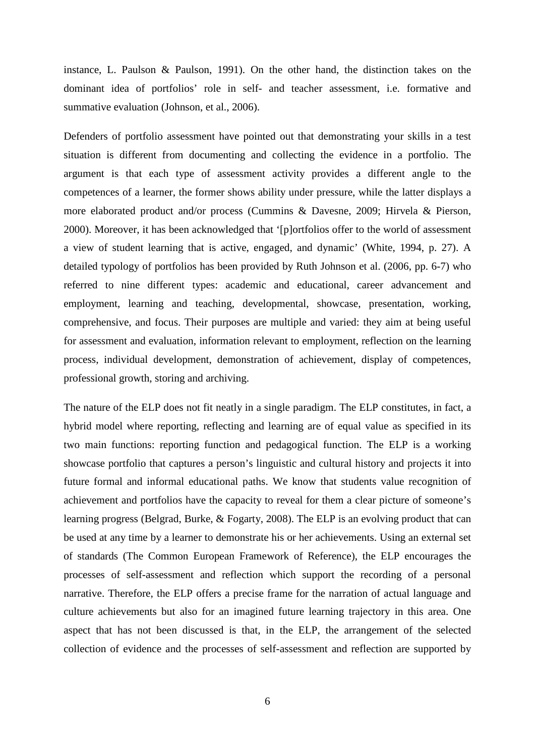[instance, L. Paulson & Paulson, 1991\)](#page-22-7). On the other hand, the distinction takes on the dominant idea of portfolios' role in self- and teacher assessment, i.e. formative and summative evaluation [\(Johnson, et al., 2006\)](#page-21-2).

Defenders of portfolio assessment have pointed out that demonstrating your skills in a test situation is different from documenting and collecting the evidence in a portfolio. The argument is that each type of assessment activity provides a different angle to the competences of a learner, the former shows ability under pressure, while the latter displays a more elaborated product and/or process [\(Cummins & Davesne, 2009;](#page-21-1) [Hirvela & Pierson,](#page-21-10)  [2000\)](#page-21-10). Moreover, it has been acknowledged that '[p]ortfolios offer to the world of assessment a view of student learning that is active, engaged, and dynamic' [\(White, 1994, p. 27\)](#page-22-8). A detailed typology of portfolios has been provided by Ruth Johnson et al. [\(2006, pp. 6-7\)](#page-21-2) who referred to nine different types: academic and educational, career advancement and employment, learning and teaching, developmental, showcase, presentation, working, comprehensive, and focus. Their purposes are multiple and varied: they aim at being useful for assessment and evaluation, information relevant to employment, reflection on the learning process, individual development, demonstration of achievement, display of competences, professional growth, storing and archiving.

The nature of the ELP does not fit neatly in a single paradigm. The ELP constitutes, in fact, a hybrid model where reporting, reflecting and learning are of equal value as specified in its two main functions: reporting function and pedagogical function. The ELP is a working showcase portfolio that captures a person's linguistic and cultural history and projects it into future formal and informal educational paths. We know that students value recognition of achievement and portfolios have the capacity to reveal for them a clear picture of someone's learning progress [\(Belgrad, Burke, & Fogarty, 2008\)](#page-20-2). The ELP is an evolving product that can be used at any time by a learner to demonstrate his or her achievements. Using an external set of standards (The Common European Framework of Reference), the ELP encourages the processes of self-assessment and reflection which support the recording of a personal narrative. Therefore, the ELP offers a precise frame for the narration of actual language and culture achievements but also for an imagined future learning trajectory in this area. One aspect that has not been discussed is that, in the ELP, the arrangement of the selected collection of evidence and the processes of self-assessment and reflection are supported by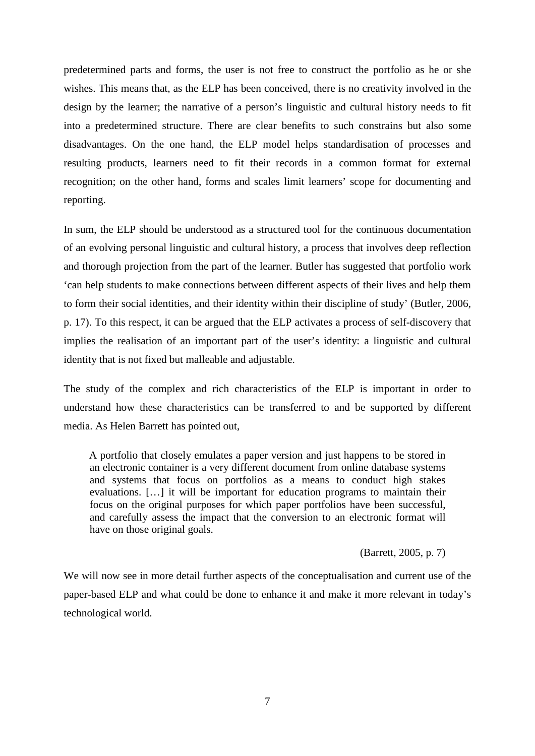predetermined parts and forms, the user is not free to construct the portfolio as he or she wishes. This means that, as the ELP has been conceived, there is no creativity involved in the design by the learner; the narrative of a person's linguistic and cultural history needs to fit into a predetermined structure. There are clear benefits to such constrains but also some disadvantages. On the one hand, the ELP model helps standardisation of processes and resulting products, learners need to fit their records in a common format for external recognition; on the other hand, forms and scales limit learners' scope for documenting and reporting.

In sum, the ELP should be understood as a structured tool for the continuous documentation of an evolving personal linguistic and cultural history, a process that involves deep reflection and thorough projection from the part of the learner. Butler has suggested that portfolio work 'can help students to make connections between different aspects of their lives and help them to form their social identities, and their identity within their discipline of study' [\(Butler, 2006,](#page-21-11)  [p. 17\)](#page-21-11). To this respect, it can be argued that the ELP activates a process of self-discovery that implies the realisation of an important part of the user's identity: a linguistic and cultural identity that is not fixed but malleable and adjustable.

The study of the complex and rich characteristics of the ELP is important in order to understand how these characteristics can be transferred to and be supported by different media. As Helen Barrett has pointed out,

A portfolio that closely emulates a paper version and just happens to be stored in an electronic container is a very different document from online database systems and systems that focus on portfolios as a means to conduct high stakes evaluations. […] it will be important for education programs to maintain their focus on the original purposes for which paper portfolios have been successful, and carefully assess the impact that the conversion to an electronic format will have on those original goals.

[\(Barrett, 2005, p. 7\)](#page-20-3)

We will now see in more detail further aspects of the conceptualisation and current use of the paper-based ELP and what could be done to enhance it and make it more relevant in today's technological world.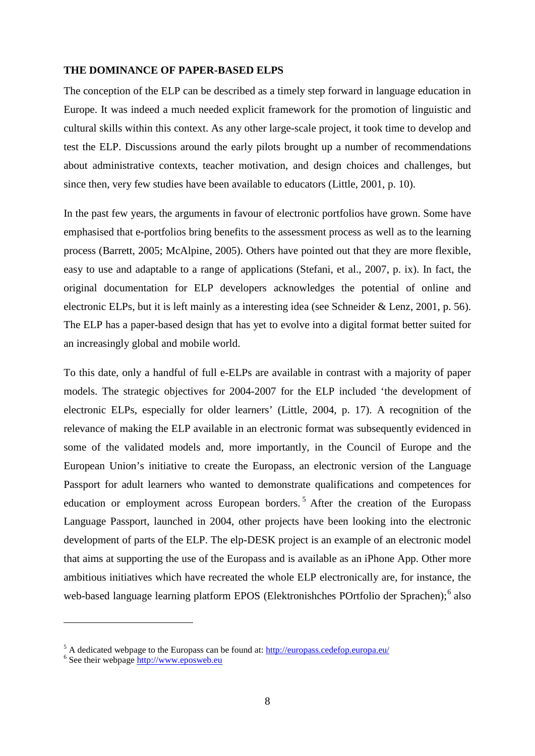#### **THE DOMINANCE OF PAPER-BASED ELPS**

The conception of the ELP can be described as a timely step forward in language education in Europe. It was indeed a much needed explicit framework for the promotion of linguistic and cultural skills within this context. As any other large-scale project, it took time to develop and test the ELP. Discussions around the early pilots brought up a number of recommendations about administrative contexts, teacher motivation, and design choices and challenges, but since then, very few studies have been available to educators [\(Little, 2001, p. 10\)](#page-21-6).

In the past few years, the arguments in favour of electronic portfolios have grown. Some have emphasised that e-portfolios bring benefits to the assessment process as well as to the learning process [\(Barrett, 2005;](#page-20-3) [McAlpine, 2005\)](#page-22-6). Others have pointed out that they are more flexible, easy to use and adaptable to a range of applications [\(Stefani, et al., 2007, p. ix\)](#page-22-3). In fact, the original documentation for ELP developers acknowledges the potential of online and electronic ELPs, but it is left mainly as a interesting idea [\(see Schneider & Lenz, 2001, p. 56\)](#page-22-9). The ELP has a paper-based design that has yet to evolve into a digital format better suited for an increasingly global and mobile world.

To this date, only a handful of full e-ELPs are available in contrast with a majority of paper models. The strategic objectives for 2004-2007 for the ELP included 'the development of electronic ELPs, especially for older learners' [\(Little, 2004, p. 17\)](#page-21-12). A recognition of the relevance of making the ELP available in an electronic format was subsequently evidenced in some of the validated models and, more importantly, in the Council of Europe and the European Union's initiative to create the Europass, an electronic version of the Language Passport for adult learners who wanted to demonstrate qualifications and competences for education or employment across European borders.<sup>[5](#page-8-0)</sup> After the creation of the Europass Language Passport, launched in 2004, other projects have been looking into the electronic development of parts of the ELP. The elp-DESK project is an example of an electronic model that aims at supporting the use of the Europass and is available as an iPhone App. Other more ambitious initiatives which have recreated the whole ELP electronically are, for instance, the web-based language learning platform EPOS (Elektronishches POrtfolio der Sprachen);<sup>[6](#page-8-1)</sup> also

-

<span id="page-8-0"></span><sup>&</sup>lt;sup>5</sup> A dedicated webpage to the Europass can be found at:  $\frac{http://europass.cedefop.europa.eu/}{%}$ <br><sup>6</sup> See their webpage [http://www.eposweb.eu](http://www.eposweb.eu/)

<span id="page-8-1"></span>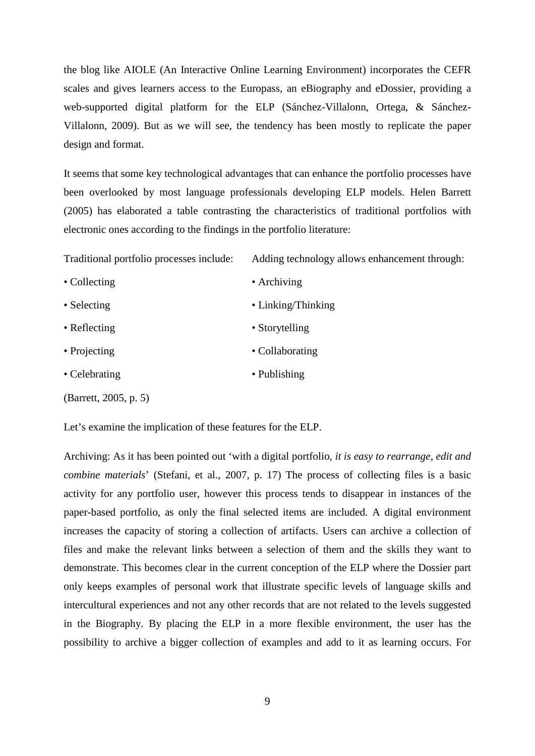the blog like AIOLE (An Interactive Online Learning Environment) incorporates the CEFR scales and gives learners access to the Europass, an eBiography and eDossier, providing a web-supported digital platform for the ELP [\(Sánchez-Villalonn, Ortega, &](#page-22-10) Sánchez-[Villalonn, 2009\)](#page-22-10). But as we will see, the tendency has been mostly to replicate the paper design and format.

It seems that some key technological advantages that can enhance the portfolio processes have been overlooked by most language professionals developing ELP models. Helen Barrett [\(2005\)](#page-20-3) has elaborated a table contrasting the characteristics of traditional portfolios with electronic ones according to the findings in the portfolio literature:

Traditional portfolio processes include: Adding technology allows enhancement through:

| • Collecting          | $\bullet$ Archiving |  |
|-----------------------|---------------------|--|
| • Selecting           | • Linking/Thinking  |  |
| • Reflecting          | • Storytelling      |  |
| • Projecting          | • Collaborating     |  |
| • Celebrating         | • Publishing        |  |
| (Barrett, 2005, p. 5) |                     |  |

Let's examine the implication of these features for the ELP.

Archiving: As it has been pointed out 'with a digital portfolio, *it is easy to rearrange, edit and combine materials*' [\(Stefani, et al., 2007, p. 17\)](#page-22-3) The process of collecting files is a basic activity for any portfolio user, however this process tends to disappear in instances of the paper-based portfolio, as only the final selected items are included. A digital environment increases the capacity of storing a collection of artifacts. Users can archive a collection of files and make the relevant links between a selection of them and the skills they want to demonstrate. This becomes clear in the current conception of the ELP where the Dossier part only keeps examples of personal work that illustrate specific levels of language skills and intercultural experiences and not any other records that are not related to the levels suggested in the Biography. By placing the ELP in a more flexible environment, the user has the possibility to archive a bigger collection of examples and add to it as learning occurs. For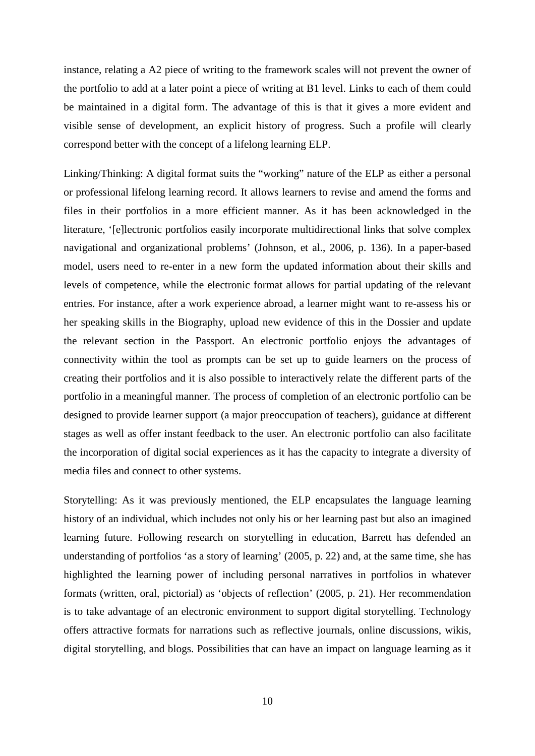instance, relating a A2 piece of writing to the framework scales will not prevent the owner of the portfolio to add at a later point a piece of writing at B1 level. Links to each of them could be maintained in a digital form. The advantage of this is that it gives a more evident and visible sense of development, an explicit history of progress. Such a profile will clearly correspond better with the concept of a lifelong learning ELP.

Linking/Thinking: A digital format suits the "working" nature of the ELP as either a personal or professional lifelong learning record. It allows learners to revise and amend the forms and files in their portfolios in a more efficient manner. As it has been acknowledged in the literature, '[e]lectronic portfolios easily incorporate multidirectional links that solve complex navigational and organizational problems' [\(Johnson, et al., 2006, p. 136\)](#page-21-2). In a paper-based model, users need to re-enter in a new form the updated information about their skills and levels of competence, while the electronic format allows for partial updating of the relevant entries. For instance, after a work experience abroad, a learner might want to re-assess his or her speaking skills in the Biography, upload new evidence of this in the Dossier and update the relevant section in the Passport. An electronic portfolio enjoys the advantages of connectivity within the tool as prompts can be set up to guide learners on the process of creating their portfolios and it is also possible to interactively relate the different parts of the portfolio in a meaningful manner. The process of completion of an electronic portfolio can be designed to provide learner support (a major preoccupation of teachers), guidance at different stages as well as offer instant feedback to the user. An electronic portfolio can also facilitate the incorporation of digital social experiences as it has the capacity to integrate a diversity of media files and connect to other systems.

Storytelling: As it was previously mentioned, the ELP encapsulates the language learning history of an individual, which includes not only his or her learning past but also an imagined learning future. Following research on storytelling in education, Barrett has defended an understanding of portfolios 'as a story of learning' [\(2005, p. 22\)](#page-20-3) and, at the same time, she has highlighted the learning power of including personal narratives in portfolios in whatever formats (written, oral, pictorial) as 'objects of reflection' [\(2005, p. 21\)](#page-20-3). Her recommendation is to take advantage of an electronic environment to support digital storytelling. Technology offers attractive formats for narrations such as reflective journals, online discussions, wikis, digital storytelling, and blogs. Possibilities that can have an impact on language learning as it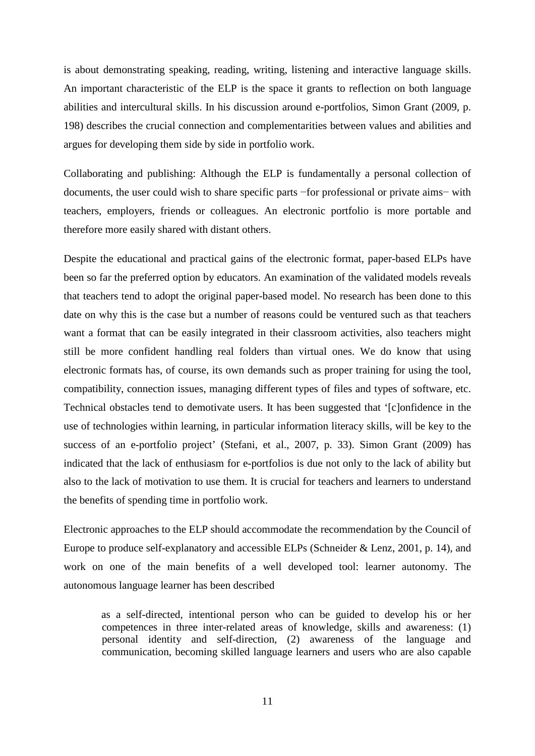is about demonstrating speaking, reading, writing, listening and interactive language skills. An important characteristic of the ELP is the space it grants to reflection on both language abilities and intercultural skills. In his discussion around e-portfolios, Simon Grant [\(2009, p.](#page-21-13)  [198\)](#page-21-13) describes the crucial connection and complementarities between values and abilities and argues for developing them side by side in portfolio work.

Collaborating and publishing: Although the ELP is fundamentally a personal collection of documents, the user could wish to share specific parts −for professional or private aims− with teachers, employers, friends or colleagues. An electronic portfolio is more portable and therefore more easily shared with distant others.

Despite the educational and practical gains of the electronic format, paper-based ELPs have been so far the preferred option by educators. An examination of the validated models reveals that teachers tend to adopt the original paper-based model. No research has been done to this date on why this is the case but a number of reasons could be ventured such as that teachers want a format that can be easily integrated in their classroom activities, also teachers might still be more confident handling real folders than virtual ones. We do know that using electronic formats has, of course, its own demands such as proper training for using the tool, compatibility, connection issues, managing different types of files and types of software, etc. Technical obstacles tend to demotivate users. It has been suggested that '[c]onfidence in the use of technologies within learning, in particular information literacy skills, will be key to the success of an e-portfolio project' [\(Stefani, et al., 2007, p. 33\)](#page-22-3). Simon Grant [\(2009\)](#page-21-13) has indicated that the lack of enthusiasm for e-portfolios is due not only to the lack of ability but also to the lack of motivation to use them. It is crucial for teachers and learners to understand the benefits of spending time in portfolio work.

Electronic approaches to the ELP should accommodate the recommendation by the Council of Europe to produce self-explanatory and accessible ELPs [\(Schneider & Lenz, 2001, p. 14\)](#page-22-9), and work on one of the main benefits of a well developed tool: learner autonomy. The autonomous language learner has been described

as a self-directed, intentional person who can be guided to develop his or her competences in three inter-related areas of knowledge, skills and awareness: (1) personal identity and self-direction, (2) awareness of the language and communication, becoming skilled language learners and users who are also capable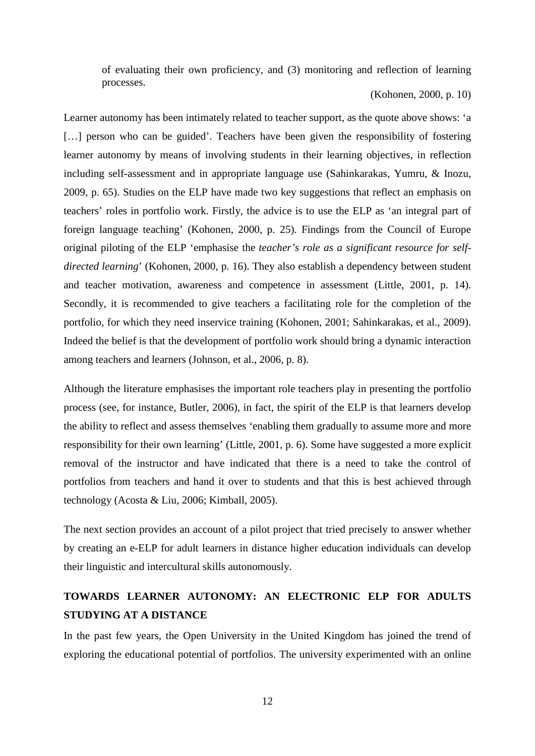of evaluating their own proficiency, and (3) monitoring and reflection of learning processes.

[\(Kohonen, 2000, p. 10\)](#page-21-5)

Learner autonomy has been intimately related to teacher support, as the quote above shows: 'a [...] person who can be guided'. Teachers have been given the responsibility of fostering learner autonomy by means of involving students in their learning objectives, in reflection including self-assessment and in appropriate language use [\(Sahinkarakas, Yumru, & Inozu,](#page-22-11)  [2009, p. 65\)](#page-22-11). Studies on the ELP have made two key suggestions that reflect an emphasis on teachers' roles in portfolio work. Firstly, the advice is to use the ELP as 'an integral part of foreign language teaching' [\(Kohonen, 2000, p. 25\)](#page-21-5). Findings from the Council of Europe original piloting of the ELP 'emphasise the *teacher's role as a significant resource for selfdirected learning*' [\(Kohonen, 2000, p. 16\)](#page-21-5). They also establish a dependency between student and teacher motivation, awareness and competence in assessment [\(Little, 2001, p. 14\)](#page-21-6). Secondly, it is recommended to give teachers a facilitating role for the completion of the portfolio, for which they need inservice training [\(Kohonen, 2001;](#page-21-14) [Sahinkarakas, et al., 2009\)](#page-22-11). Indeed the belief is that the development of portfolio work should bring a dynamic interaction among teachers and learners [\(Johnson, et al., 2006, p. 8\)](#page-21-2).

Although the literature emphasises the important role teachers play in presenting the portfolio process [\(see, for instance, Butler, 2006\)](#page-21-11), in fact, the spirit of the ELP is that learners develop the ability to reflect and assess themselves 'enabling them gradually to assume more and more responsibility for their own learning' [\(Little, 2001, p. 6\)](#page-21-6). Some have suggested a more explicit removal of the instructor and have indicated that there is a need to take the control of portfolios from teachers and hand it over to students and that this is best achieved through technology [\(Acosta & Liu, 2006;](#page-20-4) [Kimball, 2005\)](#page-21-15).

The next section provides an account of a pilot project that tried precisely to answer whether by creating an e-ELP for adult learners in distance higher education individuals can develop their linguistic and intercultural skills autonomously.

#### **TOWARDS LEARNER AUTONOMY: AN ELECTRONIC ELP FOR ADULTS STUDYING AT A DISTANCE**

In the past few years, the Open University in the United Kingdom has joined the trend of exploring the educational potential of portfolios. The university experimented with an online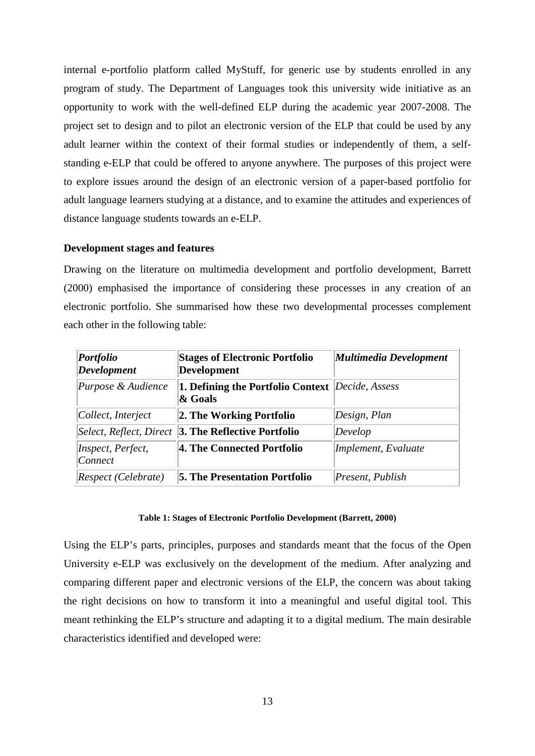internal e-portfolio platform called MyStuff, for generic use by students enrolled in any program of study. The Department of Languages took this university wide initiative as an opportunity to work with the well-defined ELP during the academic year 2007-2008. The project set to design and to pilot an electronic version of the ELP that could be used by any adult learner within the context of their formal studies or independently of them, a selfstanding e-ELP that could be offered to anyone anywhere. The purposes of this project were to explore issues around the design of an electronic version of a paper-based portfolio for adult language learners studying at a distance, and to examine the attitudes and experiences of distance language students towards an e-ELP.

#### **Development stages and features**

Drawing on the literature on multimedia development and portfolio development, Barrett [\(2000\)](#page-20-5) emphasised the importance of considering these processes in any creation of an electronic portfolio. She summarised how these two developmental processes complement each other in the following table:

| <i>Portfolio</i><br>Development | <b>Stages of Electronic Portfolio</b><br><b>Development</b>        | Multimedia Development |
|---------------------------------|--------------------------------------------------------------------|------------------------|
| Purpose & Audience              | <b>1. Defining the Portfolio Context</b> Decide, Assess<br>& Goals |                        |
| Collect, Interject              | 2. The Working Portfolio                                           | Design, Plan           |
|                                 | <i>Select, Reflect, Direct</i> <b>3. The Reflective Portfolio</b>  | Develop                |
| Inspect, Perfect,<br>Connect    | 4. The Connected Portfolio                                         | Implement, Evaluate    |
| Respect (Celebrate)             | <b>5. The Presentation Portfolio</b>                               | Present, Publish       |

#### **Table 1: Stages of Electronic Portfolio Development [\(Barrett, 2000\)](#page-20-5)**

Using the ELP's parts, principles, purposes and standards meant that the focus of the Open University e-ELP was exclusively on the development of the medium. After analyzing and comparing different paper and electronic versions of the ELP, the concern was about taking the right decisions on how to transform it into a meaningful and useful digital tool. This meant rethinking the ELP's structure and adapting it to a digital medium. The main desirable characteristics identified and developed were: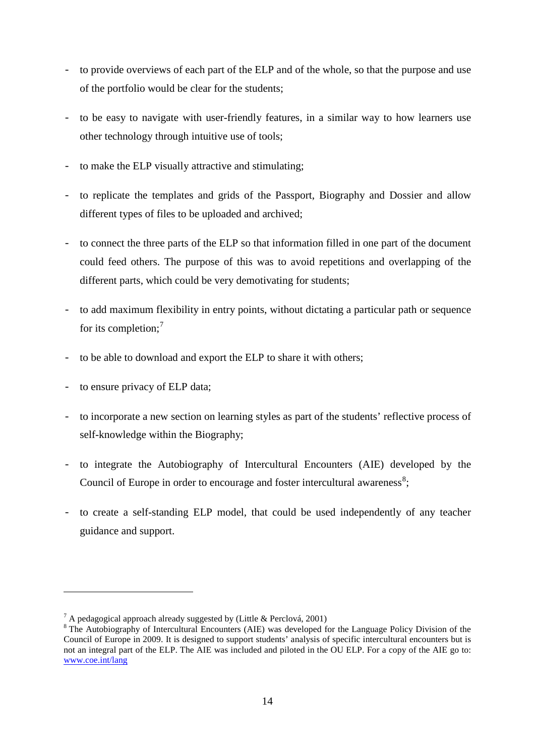- to provide overviews of each part of the ELP and of the whole, so that the purpose and use of the portfolio would be clear for the students;
- to be easy to navigate with user-friendly features, in a similar way to how learners use other technology through intuitive use of tools;
- to make the ELP visually attractive and stimulating;
- to replicate the templates and grids of the Passport, Biography and Dossier and allow different types of files to be uploaded and archived;
- to connect the three parts of the ELP so that information filled in one part of the document could feed others. The purpose of this was to avoid repetitions and overlapping of the different parts, which could be very demotivating for students;
- to add maximum flexibility in entry points, without dictating a particular path or sequence for its completion;<sup>[7](#page-14-0)</sup>
- to be able to download and export the ELP to share it with others;
- to ensure privacy of ELP data;

-

- to incorporate a new section on learning styles as part of the students' reflective process of self-knowledge within the Biography;
- to integrate the Autobiography of Intercultural Encounters (AIE) developed by the Council of Europe in order to encourage and foster intercultural awareness<sup>[8](#page-14-1)</sup>;
- to create a self-standing ELP model, that could be used independently of any teacher guidance and support.

<span id="page-14-1"></span><span id="page-14-0"></span><sup>&</sup>lt;sup>7</sup> A pedagogical approach already suggested by [\(Little & Perclová, 2001\)](#page-21-16)<br><sup>8</sup> The Autobiography of Intercultural Encounters (AIE) was developed for the Language Policy Division of the Council of Europe in 2009. It is designed to support students' analysis of specific intercultural encounters but is not an integral part of the ELP. The AIE was included and piloted in the OU ELP. For a copy of the AIE go to: [www.coe.int/lang](http://www.coe.int/lang)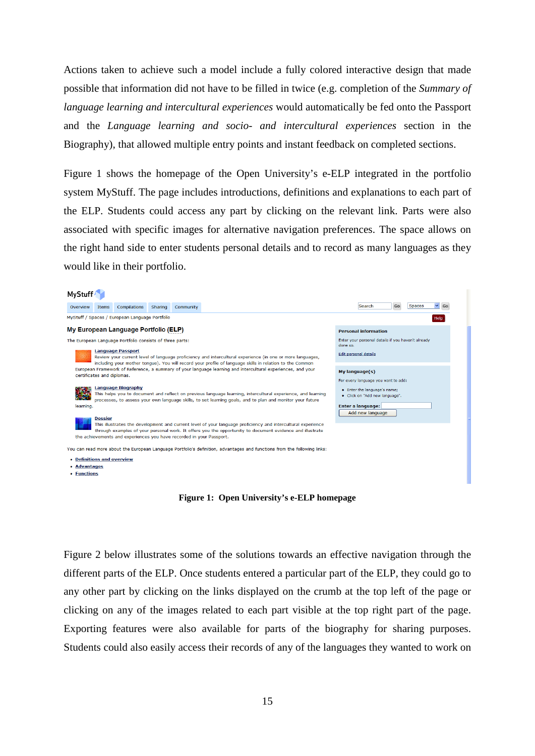Actions taken to achieve such a model include a fully colored interactive design that made possible that information did not have to be filled in twice (e.g. completion of the *Summary of language learning and intercultural experiences* would automatically be fed onto the Passport and the *Language learning and socio- and intercultural experiences* section in the Biography), that allowed multiple entry points and instant feedback on completed sections.

Figure 1 shows the homepage of the Open University's e-ELP integrated in the portfolio system MyStuff. The page includes introductions, definitions and explanations to each part of the ELP. Students could access any part by clicking on the relevant link. Parts were also associated with specific images for alternative navigation preferences. The space allows on the right hand side to enter students personal details and to record as many languages as they would like in their portfolio.

#### **MyStuff**  $\vee$  Go Go Spaces Overview Items Compilations Sharing Community Search MyStuff / Spaces / European Language Portfolio Help My European Language Portfolio (ELP) **Personal information** The European Language Portfolio consists of three parts: Enter your personal details if you haven't already<br>done so. **Language Passport** Edit personal details Review your current level of language proficiency and intercultural experience (in one or more languages, including your mother tongue). You will record your profile of language skills in relation to the Common European Framework of Reference, a summary of your language learning and intercultural experiences, and your My language(s) certificates and diplomas. For every language you want to add Language Biography<br>This helps you to document and reflect on previous language learning, intercultural experience, and learning • Enter the language's name · Click on "Add new language processes, to assess your own language skills, to set learning goals, and to plan and monitor your future Enter a language: learning Add new language **Dossier** This illustrates the development and current level of your language proficiency and intercultural experience through examples of your personal work. It offers you the opportunity to document evidence and illustrate the achievements and experiences you have recorded in your Passport. You can read more about the European Language Portfolio's definition, advantages and functions from the following links: • Definitions and overview · Advantages • **Functions**

**Figure 1: Open University's e-ELP homepage**

Figure 2 below illustrates some of the solutions towards an effective navigation through the different parts of the ELP. Once students entered a particular part of the ELP, they could go to any other part by clicking on the links displayed on the crumb at the top left of the page or clicking on any of the images related to each part visible at the top right part of the page. Exporting features were also available for parts of the biography for sharing purposes. Students could also easily access their records of any of the languages they wanted to work on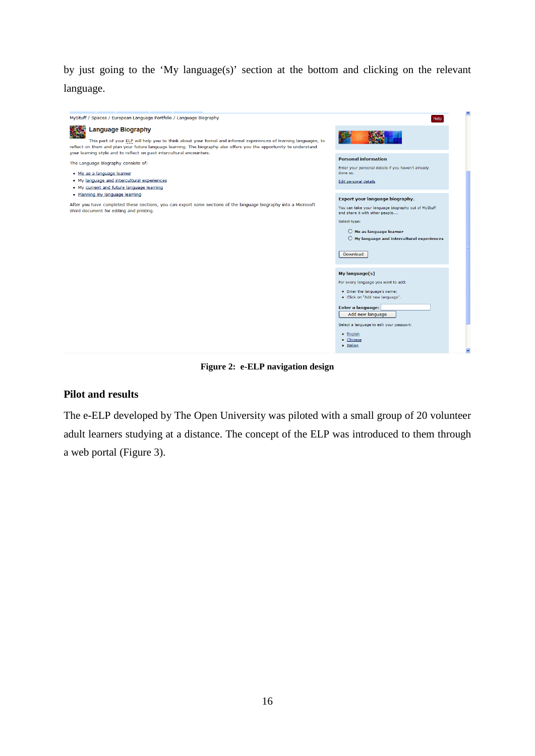by just going to the 'My language(s)' section at the bottom and clicking on the relevant language.



**Figure 2: e-ELP navigation design**

#### **Pilot and results**

The e-ELP developed by The Open University was piloted with a small group of 20 volunteer adult learners studying at a distance. The concept of the ELP was introduced to them through a web portal (Figure 3).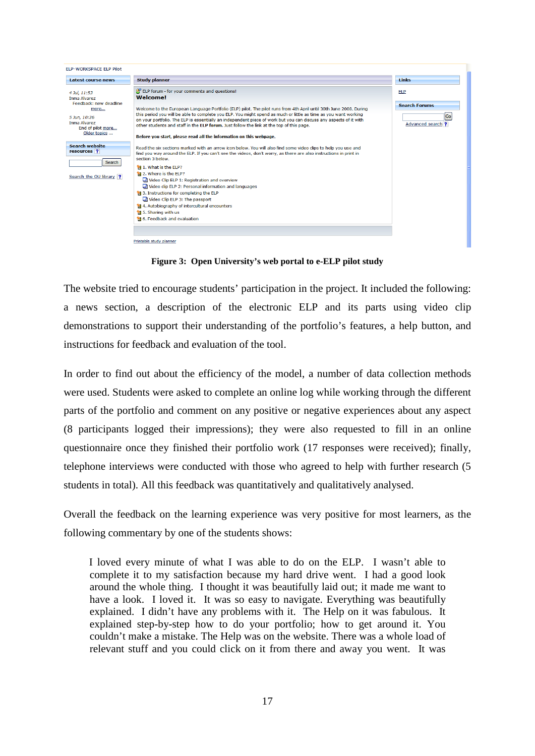

**Figure 3: Open University's web portal to e-ELP pilot study**

The website tried to encourage students' participation in the project. It included the following: a news section, a description of the electronic ELP and its parts using video clip demonstrations to support their understanding of the portfolio's features, a help button, and instructions for feedback and evaluation of the tool.

In order to find out about the efficiency of the model, a number of data collection methods were used. Students were asked to complete an online log while working through the different parts of the portfolio and comment on any positive or negative experiences about any aspect (8 participants logged their impressions); they were also requested to fill in an online questionnaire once they finished their portfolio work (17 responses were received); finally, telephone interviews were conducted with those who agreed to help with further research (5 students in total). All this feedback was quantitatively and qualitatively analysed.

Overall the feedback on the learning experience was very positive for most learners, as the following commentary by one of the students shows:

I loved every minute of what I was able to do on the ELP. I wasn't able to complete it to my satisfaction because my hard drive went. I had a good look around the whole thing. I thought it was beautifully laid out; it made me want to have a look. I loved it. It was so easy to navigate. Everything was beautifully explained. I didn't have any problems with it. The Help on it was fabulous. It explained step-by-step how to do your portfolio; how to get around it. You couldn't make a mistake. The Help was on the website. There was a whole load of relevant stuff and you could click on it from there and away you went. It was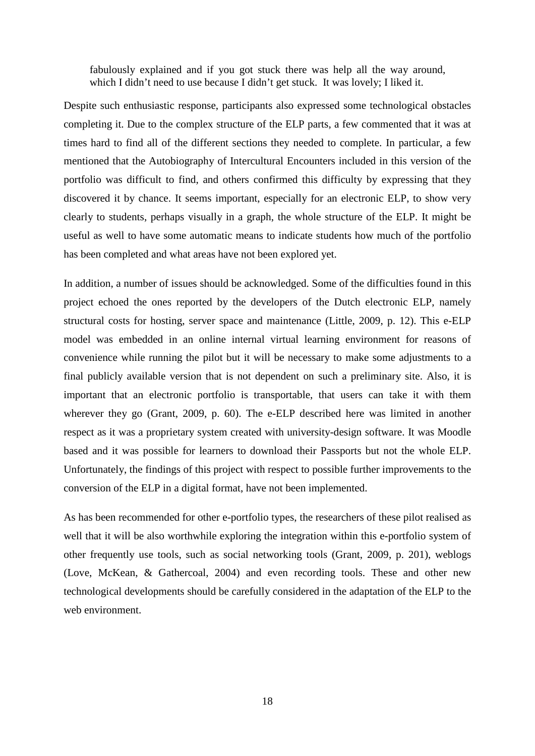fabulously explained and if you got stuck there was help all the way around, which I didn't need to use because I didn't get stuck. It was lovely; I liked it.

Despite such enthusiastic response, participants also expressed some technological obstacles completing it. Due to the complex structure of the ELP parts, a few commented that it was at times hard to find all of the different sections they needed to complete. In particular, a few mentioned that the Autobiography of Intercultural Encounters included in this version of the portfolio was difficult to find, and others confirmed this difficulty by expressing that they discovered it by chance. It seems important, especially for an electronic ELP, to show very clearly to students, perhaps visually in a graph, the whole structure of the ELP. It might be useful as well to have some automatic means to indicate students how much of the portfolio has been completed and what areas have not been explored yet.

In addition, a number of issues should be acknowledged. Some of the difficulties found in this project echoed the ones reported by the developers of the Dutch electronic ELP, namely structural costs for hosting, server space and maintenance [\(Little, 2009, p. 12\)](#page-21-17). This e-ELP model was embedded in an online internal virtual learning environment for reasons of convenience while running the pilot but it will be necessary to make some adjustments to a final publicly available version that is not dependent on such a preliminary site. Also, it is important that an electronic portfolio is transportable, that users can take it with them wherever they go [\(Grant, 2009, p. 60\)](#page-21-13). The e-ELP described here was limited in another respect as it was a proprietary system created with university-design software. It was Moodle based and it was possible for learners to download their Passports but not the whole ELP. Unfortunately, the findings of this project with respect to possible further improvements to the conversion of the ELP in a digital format, have not been implemented.

As has been recommended for other e-portfolio types, the researchers of these pilot realised as well that it will be also worthwhile exploring the integration within this e-portfolio system of other frequently use tools, such as social networking tools [\(Grant, 2009, p. 201\)](#page-21-13), weblogs [\(Love, McKean, & Gathercoal, 2004\)](#page-21-18) and even recording tools. These and other new technological developments should be carefully considered in the adaptation of the ELP to the web environment.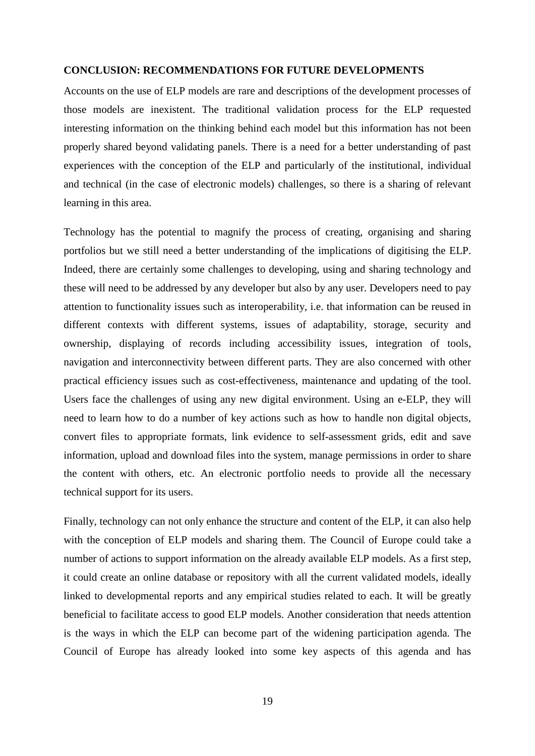#### **CONCLUSION: RECOMMENDATIONS FOR FUTURE DEVELOPMENTS**

Accounts on the use of ELP models are rare and descriptions of the development processes of those models are inexistent. The traditional validation process for the ELP requested interesting information on the thinking behind each model but this information has not been properly shared beyond validating panels. There is a need for a better understanding of past experiences with the conception of the ELP and particularly of the institutional, individual and technical (in the case of electronic models) challenges, so there is a sharing of relevant learning in this area.

Technology has the potential to magnify the process of creating, organising and sharing portfolios but we still need a better understanding of the implications of digitising the ELP. Indeed, there are certainly some challenges to developing, using and sharing technology and these will need to be addressed by any developer but also by any user. Developers need to pay attention to functionality issues such as interoperability, i.e. that information can be reused in different contexts with different systems, issues of adaptability, storage, security and ownership, displaying of records including accessibility issues, integration of tools, navigation and interconnectivity between different parts. They are also concerned with other practical efficiency issues such as cost-effectiveness, maintenance and updating of the tool. Users face the challenges of using any new digital environment. Using an e-ELP, they will need to learn how to do a number of key actions such as how to handle non digital objects, convert files to appropriate formats, link evidence to self-assessment grids, edit and save information, upload and download files into the system, manage permissions in order to share the content with others, etc. An electronic portfolio needs to provide all the necessary technical support for its users.

Finally, technology can not only enhance the structure and content of the ELP, it can also help with the conception of ELP models and sharing them. The Council of Europe could take a number of actions to support information on the already available ELP models. As a first step, it could create an online database or repository with all the current validated models, ideally linked to developmental reports and any empirical studies related to each. It will be greatly beneficial to facilitate access to good ELP models. Another consideration that needs attention is the ways in which the ELP can become part of the widening participation agenda. The Council of Europe has already looked into some key aspects of this agenda and has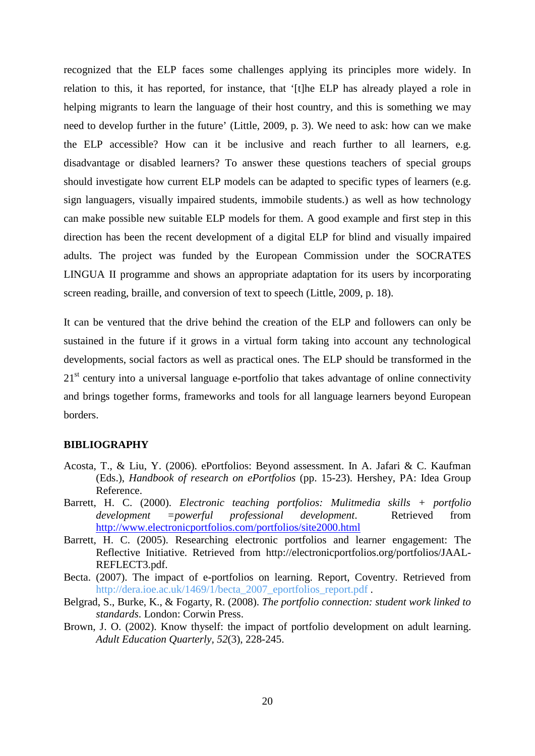recognized that the ELP faces some challenges applying its principles more widely. In relation to this, it has reported, for instance, that '[t]he ELP has already played a role in helping migrants to learn the language of their host country, and this is something we may need to develop further in the future' [\(Little, 2009, p. 3\)](#page-21-17). We need to ask: how can we make the ELP accessible? How can it be inclusive and reach further to all learners, e.g. disadvantage or disabled learners? To answer these questions teachers of special groups should investigate how current ELP models can be adapted to specific types of learners (e.g. sign languagers, visually impaired students, immobile students.) as well as how technology can make possible new suitable ELP models for them. A good example and first step in this direction has been the recent development of a digital ELP for blind and visually impaired adults. The project was funded by the European Commission under the SOCRATES LINGUA II programme and shows an appropriate adaptation for its users by incorporating screen reading, braille, and conversion of text to speech [\(Little, 2009, p. 18\)](#page-21-17).

It can be ventured that the drive behind the creation of the ELP and followers can only be sustained in the future if it grows in a virtual form taking into account any technological developments, social factors as well as practical ones. The ELP should be transformed in the  $21<sup>st</sup>$  century into a universal language e-portfolio that takes advantage of online connectivity and brings together forms, frameworks and tools for all language learners beyond European borders.

#### **BIBLIOGRAPHY**

- <span id="page-20-4"></span>Acosta, T., & Liu, Y. (2006). ePortfolios: Beyond assessment. In A. Jafari & C. Kaufman (Eds.), *Handbook of research on ePortfolios* (pp. 15-23). Hershey, PA: Idea Group Reference.
- <span id="page-20-5"></span>Barrett, H. C. (2000). *Electronic teaching portfolios: Mulitmedia skills + portfolio development =powerful professional development*. Retrieved from <http://www.electronicportfolios.com/portfolios/site2000.html>
- <span id="page-20-3"></span>Barrett, H. C. (2005). Researching electronic portfolios and learner engagement: The Reflective Initiative. Retrieved from http://electronicportfolios.org/portfolios/JAAL-REFLECT3.pdf.
- <span id="page-20-1"></span>Becta. (2007). The impact of e-portfolios on learning. Report, Coventry. Retrieved from [http://dera.ioe.ac.uk/1469/1/becta\\_2007\\_eportfolios\\_report.pdf](http://dera.ioe.ac.uk/1469/1/becta_2007_eportfolios_report.pdf).
- <span id="page-20-2"></span>Belgrad, S., Burke, K., & Fogarty, R. (2008). *The portfolio connection: student work linked to standards*. London: Corwin Press.
- <span id="page-20-0"></span>Brown, J. O. (2002). Know thyself: the impact of portfolio development on adult learning. *Adult Education Quarterly, 52*(3), 228-245.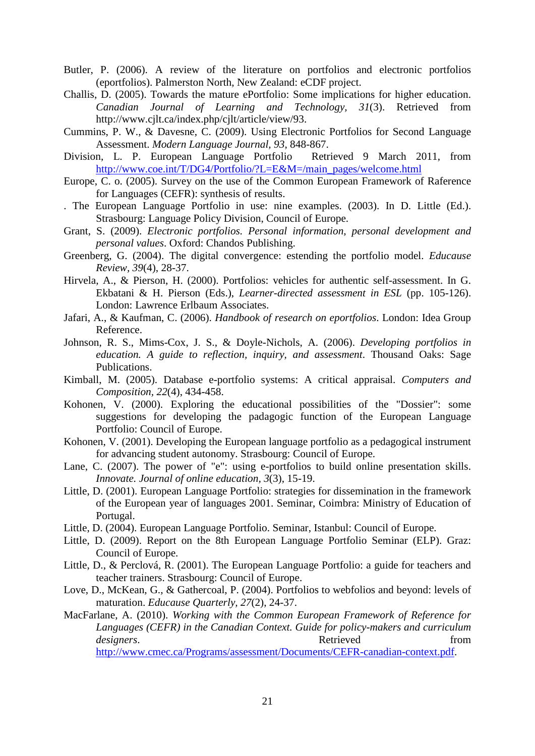- <span id="page-21-11"></span>Butler, P. (2006). A review of the literature on portfolios and electronic portfolios (eportfolios). Palmerston North, New Zealand: eCDF project.
- <span id="page-21-3"></span>Challis, D. (2005). Towards the mature ePortfolio: Some implications for higher education. *Canadian Journal of Learning and Technology, 31*(3). Retrieved from http://www.cjlt.ca/index.php/cjlt/article/view/93.
- <span id="page-21-1"></span>Cummins, P. W., & Davesne, C. (2009). Using Electronic Portfolios for Second Language Assessment. *Modern Language Journal*, 93, 848-867.<br>
n, L. P. European Language Portfolio Retrieved 9 March 2011, from
- Division, L. P. European Language Portfolio [http://www.coe.int/T/DG4/Portfolio/?L=E&M=/main\\_pages/welcome.html](http://www.coe.int/T/DG4/Portfolio/?L=E&M=/main_pages/welcome.html)
- <span id="page-21-0"></span>Europe, C. o. (2005). Survey on the use of the Common European Framework of Raference for Languages (CEFR): synthesis of results.
- . The European Language Portfolio in use: nine examples. (2003). In D. Little (Ed.). Strasbourg: Language Policy Division, Council of Europe.
- <span id="page-21-13"></span>Grant, S. (2009). *Electronic portfolios. Personal information, personal development and personal values*. Oxford: Chandos Publishing.
- <span id="page-21-9"></span>Greenberg, G. (2004). The digital convergence: estending the portfolio model. *Educause Review, 39*(4), 28-37.
- <span id="page-21-10"></span>Hirvela, A., & Pierson, H. (2000). Portfolios: vehicles for authentic self-assessment. In G. Ekbatani & H. Pierson (Eds.), *Learner-directed assessment in ESL* (pp. 105-126). London: Lawrence Erlbaum Associates.
- <span id="page-21-7"></span>Jafari, A., & Kaufman, C. (2006). *Handbook of research on eportfolios*. London: Idea Group Reference.
- <span id="page-21-2"></span>Johnson, R. S., Mims-Cox, J. S., & Doyle-Nichols, A. (2006). *Developing portfolios in education. A guide to reflection, inquiry, and assessment*. Thousand Oaks: Sage Publications.
- <span id="page-21-15"></span>Kimball, M. (2005). Database e-portfolio systems: A critical appraisal. *Computers and Composition, 22*(4), 434-458.
- <span id="page-21-5"></span>Kohonen, V. (2000). Exploring the educational possibilities of the "Dossier": some suggestions for developing the padagogic function of the European Language Portfolio: Council of Europe.
- <span id="page-21-14"></span>Kohonen, V. (2001). Developing the European language portfolio as a pedagogical instrument for advancing student autonomy. Strasbourg: Council of Europe.
- <span id="page-21-4"></span>Lane, C. (2007). The power of "e": using e-portfolios to build online presentation skills. *Innovate. Journal of online education, 3*(3), 15-19.
- <span id="page-21-6"></span>Little, D. (2001). European Language Portfolio: strategies for dissemination in the framework of the European year of languages 2001. Seminar, Coimbra: Ministry of Education of Portugal.
- <span id="page-21-12"></span>Little, D. (2004). European Language Portfolio. Seminar, Istanbul: Council of Europe.
- <span id="page-21-17"></span>Little, D. (2009). Report on the 8th European Language Portfolio Seminar (ELP). Graz: Council of Europe.
- <span id="page-21-16"></span>Little, D., & Perclová, R. (2001). The European Language Portfolio: a guide for teachers and teacher trainers. Strasbourg: Council of Europe.
- <span id="page-21-18"></span>Love, D., McKean, G., & Gathercoal, P. (2004). Portfolios to webfolios and beyond: levels of maturation. *Educause Quarterly, 27*(2), 24-37.
- <span id="page-21-8"></span>MacFarlane, A. (2010). *Working with the Common European Framework of Reference for Languages (CEFR) in the Canadian Context. Guide for policy-makers and curriculum designers*. The retrieved from  $\blacksquare$ [http://www.cmec.ca/Programs/assessment/Documents/CEFR-canadian-context.pdf.](http://www.cmec.ca/Programs/assessment/Documents/CEFR-canadian-context.pdf)